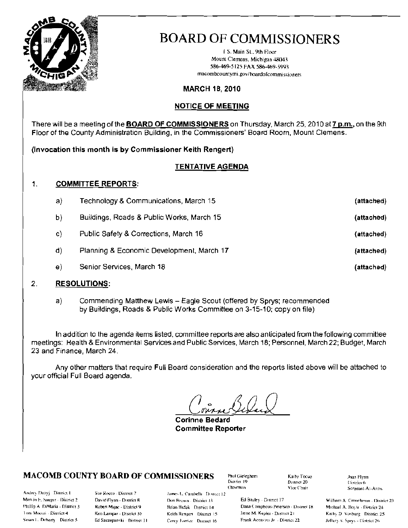

i S. Main St., 9th Floor Mount Clemens, Michigan 48043 586-469-5125 FAX 586-469-5993 macombcountymi.gov/boardofcommissioners

#### **MARCH 18, 2010**

#### **NOTICE OF MEETING**

There will be a meeting of the **BOARD OF COMMISSIONERS** on Thursday, March 25, 2010 at 7 p.m., on the 9th Floor of the County Administration Building, in the Commissioners' Board Room, Mount Clemens.

(Invocation this month is by Commissioner Keith Rengert)

#### **TENTATIVE AGENDA**

#### $\mathbf{1}$ **COMMITTEE REPORTS:**

| a) | Technology & Communications, March 15     | (attached) |
|----|-------------------------------------------|------------|
| b) | Buildings, Roads & Public Works, March 15 | (attached) |
| C) | Public Safety & Corrections, March 16     | (attached) |
| d) | Planning & Economic Development, March 17 | (attached) |
| e) | Senior Services, March 18                 | (attached) |
|    |                                           |            |

#### 2. **RESOLUTIONS:**

Commending Matthew Lewis - Eagle Scout (offered by Sprys; recommended a) by Buildings, Roads & Public Works Committee on 3-15-10; copy on file)

In addition to the agenda items listed, committee reports are also anticipated from the following committee meetings: Health & Environmental Services and Public Services, March 18; Personnel, March 22; Budget, March 23 and Finance, March 24.

Any other matters that require Full Board consideration and the reports listed above will be attached to your official Full Board agenda.

**Corinne Bedard Committee Reporter** 

#### **MACOMB COUNTY BOARD OF COMMISSIONERS**

Andrey Duzyj District I Marvin E. Sauger - District 2 Phillip A. DiMaria - District 3 Iom Moceri - District 4 Sissan L. Doherty District 5

Sue Recca - District 7 David Flynn - District 8 Robert Mijac - District 9 Ken Lampar - District 10 Ed Szczepanski - District 11 James L. Carabelli District 12 Don Brown - District 13 Brian Brdak District 14 Keith Rengert District 15

Carey Jorrice District 16

Paul Gieleghem District 19 Chairman

Kaiby Tocop District 20 Vice Chair

Ed Bruley - District 17 Dana Camphous-Peterson - District 18 Jiene M. Kepler - District 21 Frank Accavita Jr. - District 22

Joan Flynn District 6 Sergeant-At-Arins

Wilham A. Crouchman - District 23 Michael A. Boyle - District 24 Kathy D. Vosburg District 25 Jeffery S. Sprys - District 26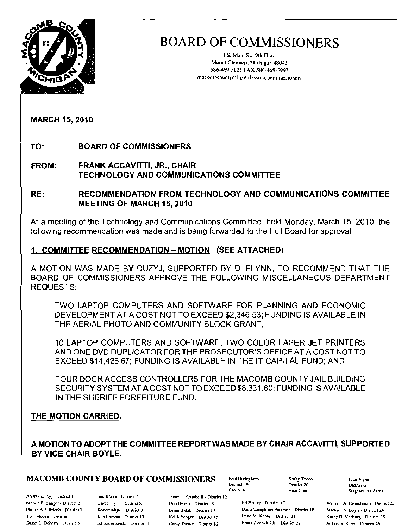

I S. Main St., 9th Floor Mount Clemens, Michigan 48043 586-469-5125 FAX 586-469·599) macombcountymi gov/boardofcommissioners

MARCH 15, 2010

TO: BOARD OF COMMISSIONERS

FROM: FRANK ACCAVITTI, JR., CHAIR TECHNOLOGY AND COMMUNICATIONS COMMITTEE

RE: RECOMMENDATION FROM TECHNOLOGY AND COMMUNICATIONS COMMITTEE MEETING OF MARCH 15, 2010

At a meeting of the Technology and Communications Committee, held Monday, March 15, 2010, the following recommendation was made and is being forwarded to the Full Board for approval:

### 1, COMMITTEE RECOMMENDATION - MOTION (SEE ATTACHED)

A MOTION WAS MADE BY DUZYJ, SUPPORTED BY D. FLYNN, TO RECOMMEND THAT THE BOARD OF COMMISSIONERS APPROVE THE FOLLOWING MISCELLANEOUS DEPARTMENT REQUESTS:

TWO LAPTOP COMPUTERS AND SOFTWARE FOR PLANNING AND ECONOMIC DEVELOPMENT AT A COST NOT TO EXCEED \$2,346.53; FUNDING IS AVAILABLE IN THE AERIAL PHOTO AND COMMUNITY BLOCK GRANT;

10 LAPTOP COMPUTERS AND SOFTWARE, TWO COLOR LASER JET PRINTERS AND ONE DVD DUPLICATOR FOR THE PROSECUTOR'S OFFICE AT A COST NOT TO EXCEED \$14,426.67; FUNDING IS AVAILABLE IN THE IT CAPITAL FUND; AND

FOUR DOOR ACCESS CONTROLLERS FOR THE MACOMB COUNTY JAIL BUILDING SECURITY SYSTEM AT A COST NOT TO EXCEED \$8,331.60; FUNDING IS AVAILABLE IN THE SHERIFF FORFEITURE FUND.

### THE MOTION CARRIED.

A MOTION TO ADOPT THE COMMITTEE REPORT WAS MADE BY CHAIR ACCAVITTI, SUPPORTED BY VICE CHAIR BOYLE.

## **MACOMB COUNTY BOARD OF COMMISSIONERS** Paul Gieleghem  $\overline{X}$  Kathy Tocco Soan Flynn

Andrey Duzyj - District I Sue Rocca - District 7 James L. Carabelli - District 12<br>Marvin E. Sauger - District 2 David Hynn - District 8 Don Brown - District 13

District 19 District 20<br>Chainman Vice Chair

David Flynn - District 8 Don Brown - District 13 Ed Bruley - District i7 William A. Crouchman - District 23 Phillip A. DiMaria - District 3 Robert Mijac - District 9 Brian Brdak - District 14 Dana Camphous-Peterson - District 18 Michael A. Boyle - District 24 Britan Brdak - District 21 Brand Camphous-Peterson - District 21 Kathy Toni Moceri - District 4 Ken Lampar - District 10 Keith Rengen - Digrict 15 Irene M. Kepler - District 21 Kathy D Vosburg - District 25 Susan L. Doherty - District 5 Ed Szczepanski - District 11 Carey Torrice - District 16 Frank Accavitti Jr . District 22 Jeffery S Sprys - District 26

Sergeant-AI-Arms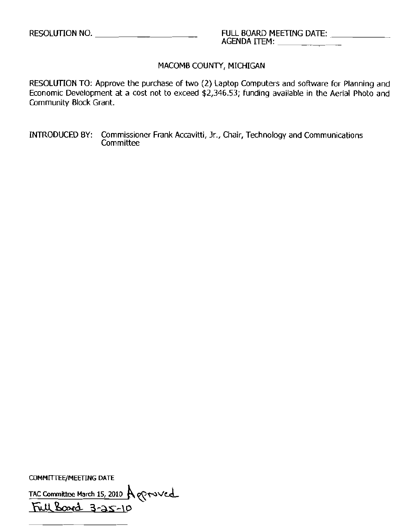#### MACOMB COUNTY, MICHIGAN

RESOLUTION TO: Approve the purchase of two (2) Laptop Computers and software for Planning and Economic Development at a cost not to exceed \$2,346.53; funding available in the Aerial Photo and Community Block Grant.

INTRODUCED BY: Commissioner Frank Accavitti, Jr., Chair, Technology and Communications **Committee** 

COMMlTTEE/MEETlNG DATE

TAC Committee March 15, 2010 A groved  $Full$  Band  $3-35-10$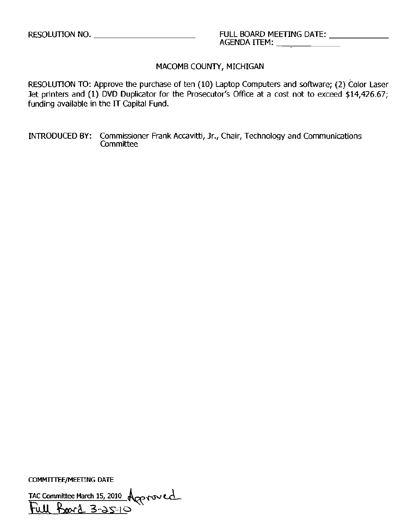#### MACOMB COUNTY, MICHIGAN

RESOLUTION TO: Approve the purchase of ten (10) Laptop Computers and software; (2) Color Laser Jet printers and (1) DVD Duplicator for the Prosecutor's Office at a cost not to exceed \$14,426.67; funding available in the IT capital Fund.

INTRODUCED BY: Commissioner Frank Accavitti, Jr., Chair, Technology and Communications **Committee** 

COMMITTEE/MEETING DATE

TAC Committee March 15, 2010  $\bigwedge_{\mathcal{O} \in \mathcal{P}} \mathcal{V}$ Full **Bo**rd 3-25-10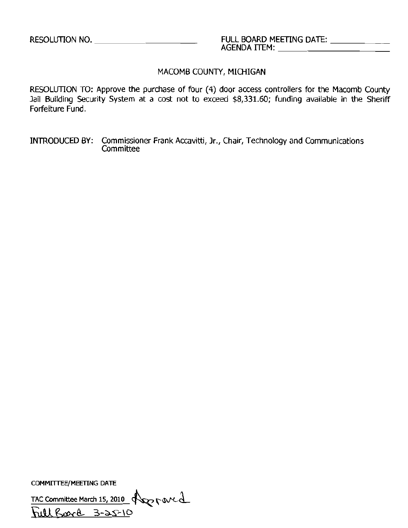### MACOMB COUNTY, MICHIGAN

RESOLUTION TO: Approve the purchase of four (4) door access controllers for the Macomb County Jail Building Security System at a cost not to exceed \$8,331.60; funding available in the Sheriff Forfeiture Fund.

INTRODUCED BY: Commissioner Frank Accavitti, Jr., Chair, Technology and Communications **Committee** 

COMMITTEE/MEETlNG DATE

TAC Committee March 15, 2010  $\sqrt{2}$  r oved

URara 3-25-10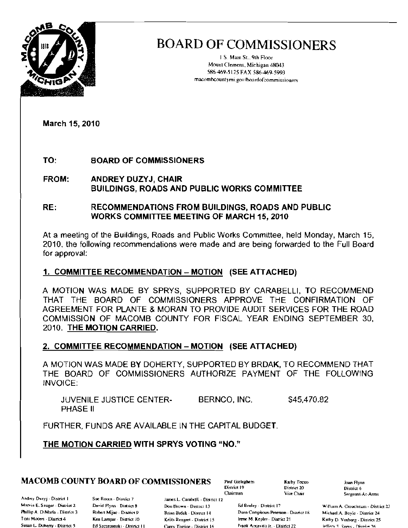

J S. Mam St., 9th Floor Mount Clemens, Michigan 48043 586-469-5125 FAX 586-469-5993 macomhcountymi.gov/boardofcommissioners

March 15, 2010

TO: BOARD OF COMMISSIONERS

- FROM: ANDREY DUZYJ, CHAIR BUILDINGS, ROADS AND PUBLIC WORKS COMMITTEE
- RE: RECOMMENDATIONS FROM BUILDINGS, ROADS AND PUBLIC WORKS COMMITTEE MEETING OF MARCH 15, 2010

At a meeting of the Buildings, Roads and Public Works Committee, held Monday, March 15, 2010, the following recommendalions were made and are being forwarded to the Full Board for approval:

### 1. COMMITTEE RECOMMENDATION - MOTION (SEE ATTACHED)

A MOTION WAS MADE BY SPRYS, SUPPORTED BY CARABELLI, TO RECOMMEND THAT THE BOARD OF COMMISSIONERS APPROVE THE CONFIRMATION OF AGREEMENT FOR PLANTE & MORAN TO PROVIDE AUDIT SERVICES FOR THE ROAD COMMISSION OF MACOMB COUNTY FOR FISCAL YEAR ENDING SEPTEMBER 30, 2010. THE MOTION CARRIED.

### 2. COMMITTEE RECOMMENDATION – MOTION (SEE ATTACHED)

A MOTION WAS MADE BY DOHERTY, SUPPORTED BY BRDAK, TO RECOMMEND THAT THE BOARD OF COMMISSIONERS AUTHORIZE PAYMENT OF THE FOLLOWING INVOICE:

JUVENILE JUSTICE CENTERBERNCO, INC. \$45,470.82 PHASE II

FURTHER, FUNDS ARE AVAILABLE IN THE CAPITAL BUDGET.

THE MOTION CARRIED WITH SPRYS VOTING "NO."

## **MACOMB COUNTY BOARD OF COMMISSIONERS** Paul Gieleghem Kathy Toco: Joan Flynn (State of Tag Aynn)

AM, Duzyj - District I Sue Rocks - District 7 James L. Carabelli - District 12 Phillip A. DiMaria - District 3 Toni Moceri - District 4

Robert Mijac - Dismct 9 Ken Lampar - District 10

Brian Brdak - District 14 Keith Rengert - District 15 Susan L. Doherry - District 5. Fal Szczepanski - District II Carev Torrice - District 16. Frank Accavitti Jr. - District 22.

District 19 1) District 20<br>Chairman 19 19 Vice Chair

Marvin E. Sauger - District 2 J. David Flynn - District 8 Don Brown - District 13 F. Ed Bruley - District 17 William A. Crouchman - District 23 Dana Camphous-Peterson - District 18 Irene M. Kepler - District 21

Sergeant-At-Arms

Michael A, Boyle - District 24 Kathy D. Vosburg - District 25 Inffers S. Spress, District 26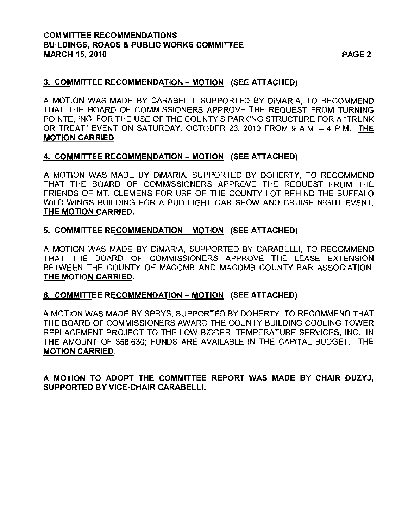#### COMMITTEE RECOMMENDATIONS BUILDINGS, ROADS & PUBLIC WORKS COMMITTEE MARCH 15, 2010 **PAGE 2**

#### 3. COMMITTEE RECOMMENDATION - MOTION (SEE ATTACHED)

A MOTION WAS MADE BY CARABELLI, SUPPORTED BY DiMARIA, TO RECOMMEND THAT THE BOARD OF COMMISSIONERS APPROVE THE REQUEST FROM TURNING POINTE, INC. FOR THE USE OF THE COUNTY'S PARKING STRUCTURE FOR A "TRUNK OR TREAT" EVENT ON SATURDAY, OCTOBER 23, 2010 FROM 9 A.M. - 4 P.M. THE MOTION CARRIED,

#### 4. COMMITTEE RECOMMENDATION - MOTION (SEE ATTACHED)

A MOTION WAS MADE BY DiMARIA, SUPPORTED BY DOHERTY. TO RECOMMEND THAT THE BOARD OF COMMISSIONERS APPROVE THE REQUEST FROM THE FRIENDS OF MT. CLEMENS FOR USE OF THE COUNTY LOT BEHIND THE BUFFALO WILD WINGS BUILDING FOR A BUD LIGHT CAR SHOW AND CRUISE NIGHT EVENT. THE MOTION CARRIED,

#### 5. COMMITTEE RECOMMENDATION - MOTION (SEE ATTACHED)

A MOTION WAS MADE BY DiMARIA, SUPPORTED BY CARABELLI, TO RECOMMEND THAT THE BOARD OF COMMISSIONERS APPROVE THE LEASE EXTENSION BETWEEN THE COUNTY OF MACOMB AND MACOMB COUNTY BAR ASSOCIATION. THE MOTION CARRIED.

#### 6. COMMITTEE RECOMMENDATION - MOTION (SEE ATTACHED)

A MOTION WAS MADE BY SPRYS, SUPPORTED BY DOHERTY, TO RECOMMEND THAT THE BOARD OF COMMISSIONERS AWARD THE COUNTY BUILDING COOLING TOWER REPLACEMENT PROJECT TO THE LOW BIDDER, TEMPERATURE SERVICES, INC., IN THE AMOUNT OF \$58,630; FUNDS ARE AVAILABLE IN THE CAPITAL BUDGET. THE MOTION CARRIED.

A MOTION TO ADOPT THE COMMITTEE REPORT WAS MADE BY CHAIR DUZYJ, SUPPORTED BY VICE-CHAIR CARABELLI.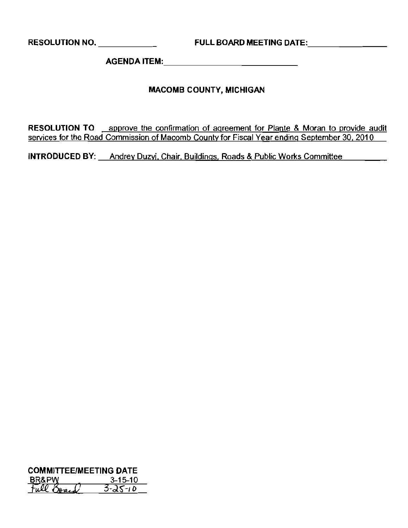**AGENDA** ITEM: \_

#### **MACOMB COUNTY, MICHIGAN**

**RESOLUTION TO** approve the confirmation of agreement for Plante & Moran to provide audit services for the Road Commission of Macomb County for Fiscal Year ending September 30, 2010

**INTRODUCED BY:** Andrey Duzyj, Chair, Buildings, Roads & Public Works Committee

**COMMITTEE/MEETING DATE**<br>
<u>BB8PW 3-15-10</u><br>
<u>Full Board 3-25-10</u> 3-25-10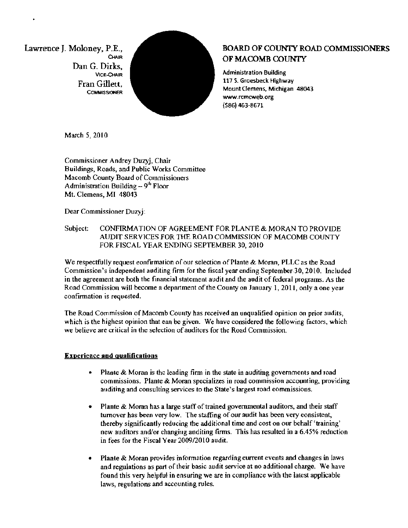Dan G. Dirks,



# Lawrence J. Moloney, P.E., **ALCOCOUNTY ROAD COMMISSIONERS**

www.rcmcweb.org (S86) 463-8671

March 5, 2010

Commissioner Andrey Duzyj, Chair Buildings, Roads, and Public Works Committee Macomb County Board of Commissioners Administration Building  $-9<sup>th</sup>$  Floor Mt. Clemens, MI 48043

Dear Commissioner Duzyj:

#### Subject: CONFIRMATION OF AGREEMENT FOR PLANTE & MORAN TO PROVIDE AUDIT SERVICES FOR THE ROAD COMMISSION OF MACOMB COUNTY FOR FISCAL YEAR ENDING SEPTEMBER 30, 2010

We respectfully request eonfirmation of our selection of Plante & Moran, PLLC as the Road Commission's independent auditing finn for the fiscal year ending September-3D, 2010. Included in the agreement are both the finaneial statement audit and the audit of federal programs. As the Road Commission will become a department of the County on January 1, 2011, only a one year confirmation is requested.

The Road Commission of Macomb County has received an unqualified opinion on prior audits, which is the highest opinion that ean be given. We have considered the following factors, which we believe are critical in the selection of auditors for the Road Commission.

#### Experience **and** qualifications

- $\bullet$  Plante & Moran is the leading firm in the state in auditing governments and road commissions. Plante & Moran specializes in road commission accounting, providing auditing and consulting services to the State's largest road eommissions.
- . Plante & Moran has a large staff of trained governmental auditors, and their staff turnover has been very low. The staffing of our audit has been very eonsistent, thereby significantly reducing the additional time and cost on our behalf'training' new auditors and/or changiug anditing fums. This has resulted in a 6.45% rednction in fees for the Fiscal Year 2009/2010 audit.
- Plante & Moran provides information regarding eurrent events and changes in laws and regulations as part of their basic audit service at no additional charge. We have found this very helpful in ensuring we are in compliance with the latest applicable laws, regulations and accounting rules.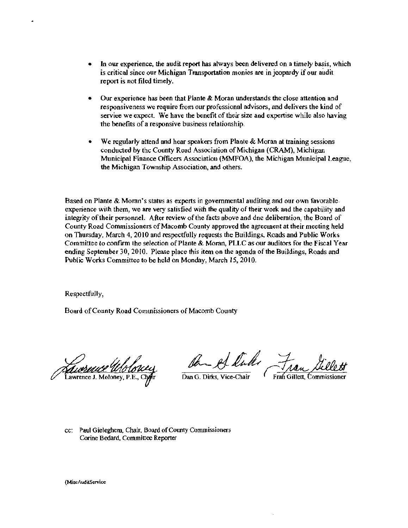- In our experience, the audit report has always been delivered on a timely basis, which is critical since our Michigan Transportation monies are in jeopardy if our audit report is not filed timely.
- Our experience has been that Plante & Moran understands the close attention and responsiveness we require from our professional advisors, and delivers the kind of service we expect. We have the benefit of their size and expertise while also having the benefits of a responsive business relationship.
- We regularly attend and hear speakers from Plante  $\&$  Moran at training sessions conducted by thc County Road Association of Michigan (CRAM), Michigan Municipal Finance Officers Association (MMFOA), the Michigan Munieipal League, the Michigan Township Association, and others.

Based on Plante & Moran's status as experts in governmental auditing and our own favorable· experience with them, we are very satisfied with the quality of their work and the capability and integrity oftheir personnel. After review of the facts above and dne deliberation, the Board of County Road Commissioners of Macomb County approved the agreement at their meeting held on Thursday, March 4, 2010 and respectfully requests the Buildings, Roads and Public Works Committee to confirm the selection of Plante & Moran, PLLC as our auditors for the Fiscal Year ending September 30,2010. Please place this item on the agenda of the Buildings, Roads and Public Works Committee to be held on Monday, March 15,2010.

Respectfully,

Board ofCounty Road Commissioners of Macomb County

Turbence Wolone

On et luke Fran

Dan G. Dirks, Vice-Chair Fran Gillett, Commissioner

cc: Paul Gieleghern, Chair, Board of County Commissioners Carine Bedard, Committee Reporter

(MiscAudilService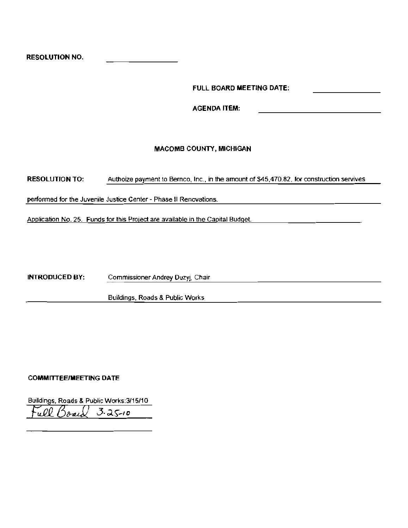RESOLUTION NO.

FULL BOARD MEETING DATE:

AGENDA ITEM:

#### **MACOMB COUNTY, MICHIGAN**

RESOLUTION TO: Authoize payment to Bernco, Inc., in the amount of \$45,470.82, for construction servives

perfonned for the Juvenile Justice Center - Phase II Renovations.

Application No. 25. Funds for Ihis Project are available in the Capital Budget

INTRODUCED BY: Commissioner Andrey Duzyj. Chair

Buildings, Roads & Public Works

#### COMMITTEE/MEETING DATE

Buildings, Roads & Public Works:3/15J10  $\frac{1}{28}$  3.25-10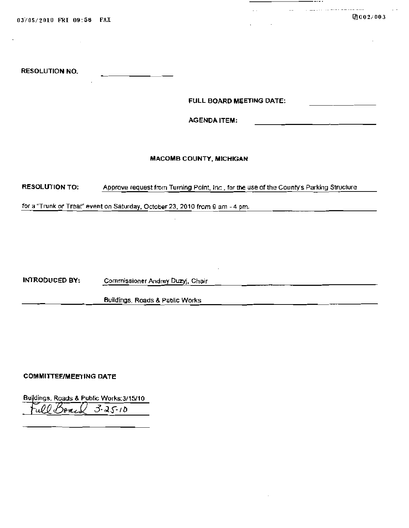03/05/2010 FRI 09:56 FAX 2002/003

 $-$ 

\_\_\_\_

<u> 1980 - John Stone, mars et al. (</u>

المستشفر والمتعاطف والمستندر المنتقل

RESOLUTION NO\_

FULL BOARD MEETING DATE:

 $\mathcal{L}_{\mathrm{c}}$  .

AGENDA ITEM'

#### MACOMB COUNTY, MICHIGAN

RESOLUTION TO: Approve request from Turning Point, Inc., for the use of the County's Parking Structure

for a "Trunk or Treat" event on Saturday, October 23, 2010 from 9 am - 4 pm.

INTRODUCED BY: Commissioner Andrey Duzyj, Chair

Buildings, Roads & Public Works

#### COMMITTEE/MEETING DATE

Buildings, Roads & Public Works:3/15/10\_

 $Full Bank 3-25-10$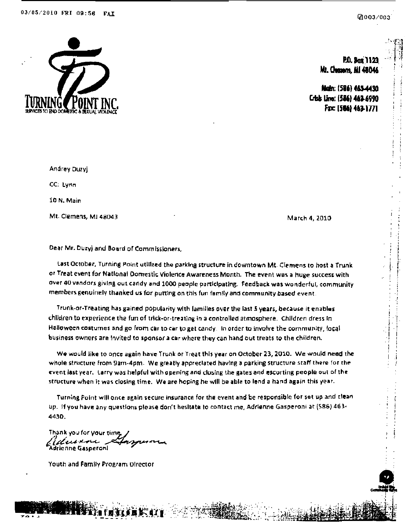

@003/003

P.O. Box 1123 Mt. Chanens, MI 48046

Mah: (586) 463-4430 Crisis Line: (586) 463-6990 Fac [566] 463-1771

Andrey Duzyj CC: Lynn 10 N. Main Mt. Clemens, MI 48043

March 4, 2010

Dear Mr. Duzy) and Board of Commissioners,

Last October, Turning Point utilized the parking structure in downtown Mt. Clemens to host a Trunk or Treat event for National Domestic Violence Awareness Month. The event was a huge success with over 40 vendors giving out candy and 1000 people participating. Feedback was wonderful, community members genuinely thanked us for putting on this fun family and community based event.

Trunk-or-Treating has gained popularity with families over the last 5 years, because it enables children to experience the fun of trick-or-treating in a controlled atmosphere. Children dress in Halloween costumes and go from car to car to get candy. In order to involve the community, local business owners are invited to sponsor a car where they can hand out treats to the children.

We would like to once again have Trunk or Treat this year on October 23, 2010. We would need the whole structure from 9am-4pm. We greatly appreclated having a parking structure staff there for the event last year. Larry was helpful with opening and closing the gates and escorting people out of the structure when it was closing time. We are hoping he will be able to lend a hand again this year.

Turning Point will once again secure insurance for the event and be responsible for set up and clean up. If you have any questions please don't hesitate to contact me, Adrienne Gasperoni at (586) 463-4430.

Thank you for your time Uuran Adrienne Gasperoni

Youth and Family Program Director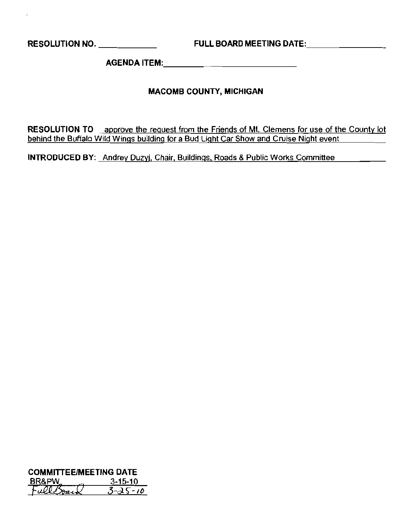**RESOLUTION NO.** \_ **FULL BOARD MEETING** DATE: \_

 $\overline{a}$ 

**AGENDA** ITEM:. \_

### **MACOMB COUNTY, MICHIGAN**

**RESOLUTION TO** \_ approve the reguest from the Friends of **Mt.** Clemens for use of the County lot behind the Buffalo Wild Wings building for a Bud Light Car Show and Cruise Night event

**INTRODUCED BY:** Andrey Duzyj, Chair, Buildings, Roads & Public Works Committee **Committen** 

**COMMITIEEIMEETING DATE**   $FullBox$ <br> $FullBox$ <br>Full  $\delta$ *park*  $3-35-10$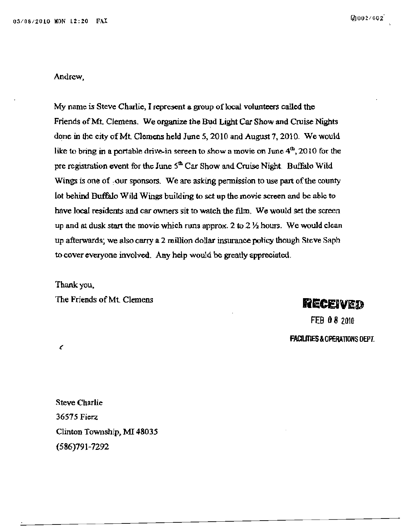#### **Andrew,**

**My name is Steve Charlie) I represent a group of local volunteers called the**  Friends of Mt. Clemens. We organize the Bud Light Car Show and Cruise Nights done in the city of Mt. Clemens held June 5, 2010 and August 7, 2010. We would like to bring in a portable drive-in screen to show a movie on June  $4^{\text{th}}$ , 2010 for the pre registration event for the June  $5<sup>th</sup>$  Car Show and Cruise Night. Buffalo Wild Wings is one of -our sponsors. We are asking permission to use part of the county lot behind Buffalo Wild Wings building to set up the movie screen and be able to have local residents and car owners sit to watch the film. We would set the screen up and at dusk start the movie which runs approx. 2 to 2  $\frac{1}{2}$  hours. We would clean up afterwards; we also carry a 2 million dollar insurance policy though Steve Saph to cover everyone involved. Any help would be greatly appreciated.

Thank you, The Friends of Mt. Clemens **RECEIVED** 

FEB 08 2010 **FACIUTIES** &OPERATIONS OEPT.

 $\epsilon$ 

Steve Charlie 36575 Fierz Clinton Township, MI 48035 (586)791-7292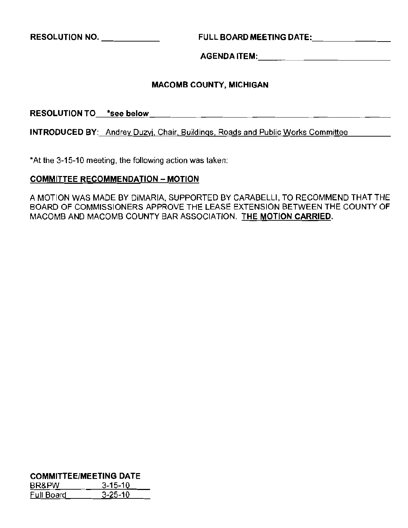**RESOLUTION NO.** \_ **FULL BOARD MEETING** DATE: \_

**AGENDA** ITEM: \_

#### **MACOMB COUNTY, MICHIGAN**

**RESOLUTION** TO\_-'°s"e"'e....b"e"'lo"'w"- \_

**INTRODUCED** BY: Andrey Duzyj, Chair, Buildings, Roads and Public Works Committee

'At the 3-15-10 meeting, the following action was taken:

#### **COMMITTEE RECOMMENDATION - MOTION**

A MOTION WAS MADE BY DiMARIA, SUPPORTED BY CARABELLI, TO RECOMMEND **THAT THE**  BOARD OF COMMISSIONERS APPROVE **THE** LEASE EXTENSION BETWEEN **THE** COUNTY OF MACOMB AND MACOMB COUNTY BAR ASSOCIATION. **THE MOTION CARRIED.** 

**COMMITTEE/MEETING DATE** 

| BR&PW      | $3 - 15 - 10$ |
|------------|---------------|
| Full Board | $3 - 25 - 10$ |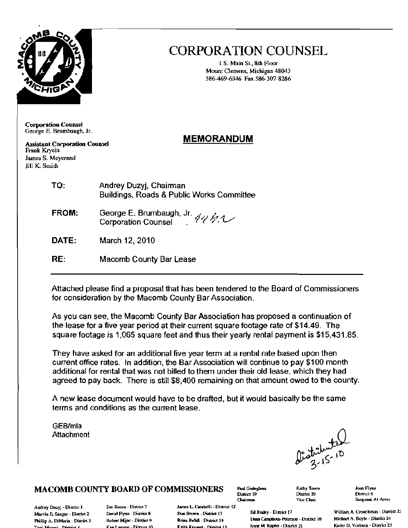

## **CORPORATION COUNSEL**

1 S. Main St., 8th Floor Mount Clemens, Michigan 48043 586-469-6346 Fax 586-307-8286

**Corporation Counsel** George E. Brumbaugh, Jr.

**Assistant Corporation Counsel** Frank Krycia James S. Meyerand Jill K. Smith

### **MEMORANDUM**

| TO:   | Andrey Duzyj, Chairman<br><b>Buildings, Roads &amp; Public Works Committee</b> |  |
|-------|--------------------------------------------------------------------------------|--|
| FROM: | George E. Brumbaugh, Jr. $\chi_{1}, \chi_{2}$                                  |  |

Corporation Counsel 449.1

DATE: March 12, 2010

 $RE:$ Macomb County Bar Lease

Attached please find a proposal that has been tendered to the Board of Commissioners for consideration by the Macomb County Bar Association.

As you can see, the Macomb County Bar Association has proposed a continuation of the lease for a five year period at their current square footage rate of \$14.49. The square footage is 1,065 square feet and thus their yearly rental payment is \$15,431.85.

They have asked for an additional five year term at a rental rate based upon then current office rates. In addition, the Bar Association will continue to pay \$100 month additional for rental that was not billed to them under their old lease, which they had agreed to pay back. There is still \$8,400 remaining on that amount owed to the county.

A new lease document would have to be drafted, but it would basically be the same terms and conditions as the current lease.

GEB/mla Attachment

September 10

### MACOMB COUNTY BOARD OF COMMISSIONERS

Andrey Duzyj - District 1 Marvin E. Sauger - District 2 Phillip A. DiMaria - District 3 Toni Moored - District 4

Sue Rocca - District 7 David Flynn - District B Robert Mijac - District 9 Ken Lammar - District 10

James L. Carabelli - District 12 Don Renern - District 13 **Brian Brdet - District 14** Keith Reasert - District 15

District 10 **Chairman** 

Paul Gielegbern

Kathy Tocco District 20 Vice Chair

Joan Flynn District 6 Sergeant-At-Arms

William A. Crouchman - District 23 Michael A. Boyle - District 24 Kathy D. Vosburg - District 25

Ed Bruley - Disnict 17 Dana Camphous-Peterson - District 18 Irone M. Kepler - District 21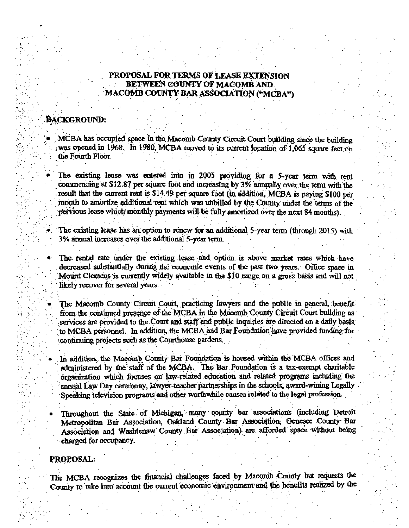#### PROPOSAL FOR TERMS OF LEASE EXTENSION BETWEEN COUNTY OF MACOMB AND MACOMB COUNTY BAR ASSOCIATION ("MCBA")

#### **BACKGROUND:**

MCBA has occupied space in the Macomb County Circuit Court building since the building was opened in 1968. In 1980, MCBA moved to its current location of 1,065 square feet on the Fourth Floor.

The existing lease was entered into in 2005 providing for a 5-year term with rent commencing at \$12.87 per square foot and increasing by 3% annually over the term with the result that the current rent is \$14.49 per square foot (in addition, MCBA is paying \$100 per month to amortize additional rent which was unbilled by the County under the terms of the pervious lease which monthly payments will be fully amortized over the next 84 months).

The existing lease has an option to renew for an additional 5-year term (through 2015) with 3% annual increases over the additional 5-year term.

The rental rate under the existing lease and option is above market rates which have decreased substantially during the economic events of the past two years. Office space in Mount Clemens is currently widely available in the \$10 range on a gross basis and will not likely recover for several years.

The Macomb County Circuit Court, practicing lawyers and the public in general, benefit from the continued presence of the MCBA in the Macomb County Circuit Court building as services are provided to the Court and staff and public inquiries are directed on a daily basis to MCBA personnel. In addition, the MCBA and Bar Foundation have provided funding for continuing projects such as the Courthouse gardens.

In addition, the Macomb County Bar Foundation is housed within the MCBA offices and administered by the staff of the MCBA. The Bar Foundation is a tax-exempt charitable organization which focuses on law-related education and related programs including the annual Law Day ceremony, lawyer-teacher partnerships in the schools, award-wining Legally Speaking television programs and other worthwhile causes related to the legal profession.

Throughout the State of Michigan, many county bar associations (including Detroit Metropolitan Bar Association, Oakland County Bar Association, Genesee County Bar Association and Washtenaw County Bar Association) are afforded space without being charged for occupancy.

#### PROPOSAL:

The MCBA recognizes the financial challenges faced by Macomb County but requests the County to take into account the current economic environment and the benefits realized by the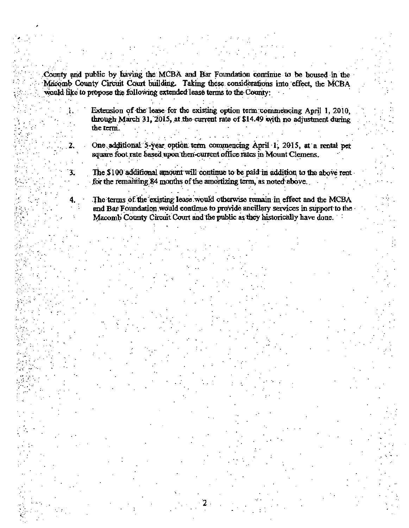County and public by having the MCBA and Bar Foundation continue to be housed in the Macomb County Circuit Court building. Taking these considerations into effect, the MCBA would like to propose the following extended lease terms to the County:

3.

Extension of the lease for the existing option term commencing April 1, 2010. through March 31, 2015, at the current rate of \$14.49 with no adjustment during the term.

One additional 5-year option term commencing April 1, 2015, at a rental per square foot rate based upon then current office rates in Mount Clemens.

The \$100 additional amount will continue to be paid in addition to the above rent for the remaining 84 months of the amortizing term, as noted above.

The terms of the existing lease would otherwise remain in effect and the MCBA and Bar Foundation would continue to provide ancillary services in support to the Macomb County Circuit Court and the public as they historically have done.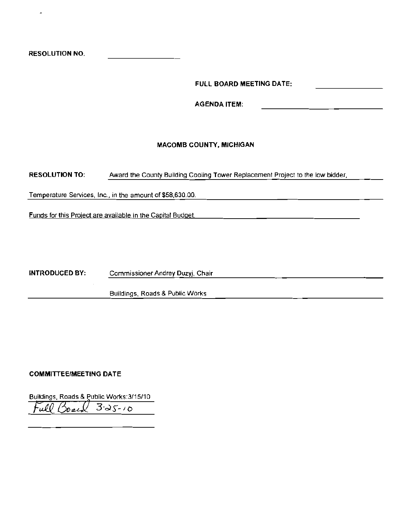RESOLUTION NO.

**FUll BOARD MEETING DATE:** 

AGENDA ITEM:

#### MACOMB COUNTY, MiCHIGAN

RESOLUTION TO: Award the County Building Cooling Tower Replacement Project to the low bidder,

Temperature Services, Inc., in the amount of \$58,630.00.

Funds for this Project are available in the Capital Budget.

INTRODUCED BY: Commissioner Andrey Duzyj, Chair

BUildings, Roads & Public Works

#### **COMMITTEE/MEETING DATE**

Buildings, Roads & Public Works:3/15/10

*Fv.1CJ30.,J2* 3·~,- 10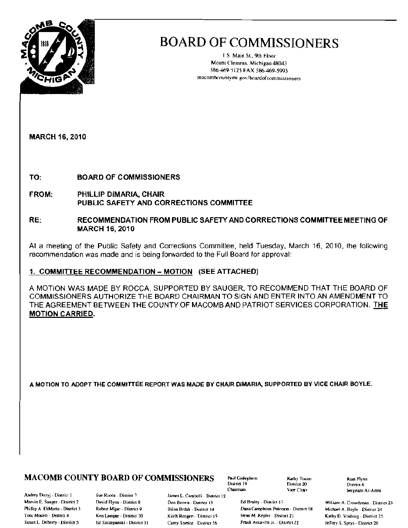

1.S. Main St., 9th Floor Mount Clemens. Michigan 48043 586-469-5125 FAX 586-469-5993 macombcountymi.gov/boardofcommissioners

**MARCH 16, 2010** 

TO: **BOARD OF COMMISSIONERS** 

- FROM: PHILLIP DIMARIA, CHAIR PUBLIC SAFETY AND CORRECTIONS COMMITTEE
- RECOMMENDATION FROM PUBLIC SAFETY AND CORRECTIONS COMMITTEE MEETING OF RE: **MARCH 16, 2010**

At a meeting of the Public Safety and Corrections Committee, held Tuesday, March 16, 2010, the following recommendation was made and is being forwarded to the Full Board for approval:

#### 1. COMMITTEE RECOMMENDATION - MOTION (SEE ATTACHED)

A MOTION WAS MADE BY ROCCA, SUPPORTED BY SAUGER, TO RECOMMEND THAT THE BOARD OF COMMISSIONERS AUTHORIZE THE BOARD CHAIRMAN TO SIGN AND ENTER INTO AN AMENDMENT TO THE AGREEMENT BETWEEN THE COUNTY OF MACOMB AND PATRIOT SERVICES CORPORATION. THE **MOTION CARRIED.** 

A MOTION TO ADOPT THE COMMITTEE REPORT WAS MADE BY CHAIR DIMARIA, SUPPORTED BY VICE CHAIR BOYLE.

### **MACOMB COUNTY BOARD OF COMMISSIONERS**

Andrey Duzyj - District 1 Marvin E. Sauger - District 2 Phillip A. DiMaria - District 3 Ton: Moceri - District 4 Susan L. Doherry - District 5

Sue Rocca - District 7 David Flynn - District 8 Robert Mijac - District 9 Ken Lampar - District 10 Ed Szczepanski - District 11

James L. Carabelli - District 12 Don Brown - District 13 Brian Brdak - District 14 Keith Rengen - District 15 Carey Torrice District 16

Paul Gieleghem District 19 Chaimian

Kathy Tocoo District 20 Vice Chair

Ed Bruley - District 17 Dana Camphous-Peterson - District 18 Irene M. Kepler - District 21 Frank Accavitti Jr. - District 22

Joan Flynn District 6 Sergeant-At-Arms

William A. Crouchman - District 23 Michael A. Boyle - District 24 Kathy D. Vosbarg - District 25 Jeffery S. Sprys - District 26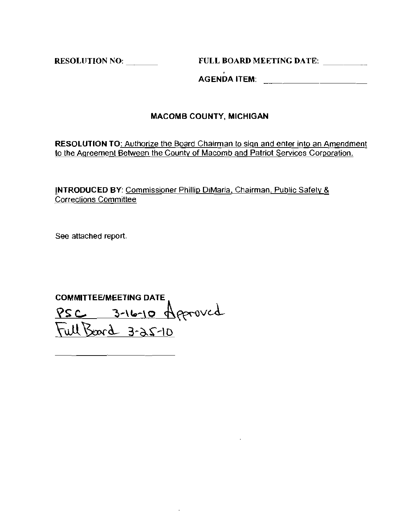RESOLUTION NO: \_ FULL BOARD MEETING DATE:

, AGENDA ITEM:

### MACOMB COUNTY, MICHIGAN

RESOLUTION TO: Authorize the Board Chairman to sign and enter into an Amendment **to the Agreement Between the County of Macomb and Patriot Services Corporation.** 

iNTRODUCED BY: Commissioner Phillip DiMaria, Chairman, Public Safely & **Corrections Committee** 

See attached report.

COMMITTEE/MEETING DATE  $PSC = 3 - 16 - 10$  of paroved  $J$ WH  $J$  $J$  $J$  $J$  $J$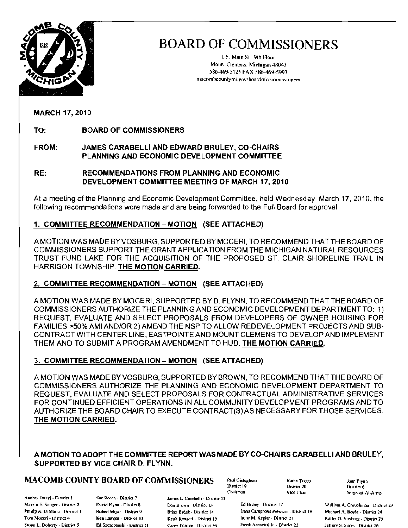

[S Main 51.. 9lh Roor Mount Clemens, Michigan 48043 .586-469-5125 FAX 586-469-5993 macombcountymi.gov/boardofcommissioners

MARCH 17,2010

TO: BOARD OF COMMISSIONERS

#### FROM: JAMES CARABELLI AND EDWARD BRULEY, CO-CHAIRS PLANNING AND ECONOMIC DEVELOPMENT COMMITTEE

RE: RECOMMENDATIONS FROM PLANNING AND ECONOMIC DEVELOPMENT COMMITTEE MEETING OF MARCH 17, 2010

At a meeting of the Planning and Economic Development Committee, held Wednesday, March 17, 2010, the following recommendations were made and are being forwarded to the Full Board for approval:

#### 1. COMMITTEE RECOMMENDATION - MOTION (SEE ATTACHED)

A MOTION WAS MADE BYVOSBURG. SUPPORTED BY MOCERI. TO RECOMMEND THAT THE BOARD OF COMMISSIONERS SUPPORT THE GRANT APPLICATION FROM THE MICHIGAN NATURAL RESOURCES TRUST FUND LAKE FOR THE ACQUISITION OF THE PROPOSED ST. CLAIR SHORELINE TRAIL IN HARRISON TOWNSHIP. THE MOTION CARRIED.

#### 2. COMMITTEE RECOMMENDATION - MOTION (SEE ATTACHED)

A MOTION WAS MADE BY MOCERI. SUPPORTED BYD. FLYNN. TO RECOMMEND THAT THE BOARD OF COMMISSIONERS AUTHORIZE THE PLANNING AND ECONOMIC DEVELOPMENT DEPARTMENT TO: 1) REQUEST. EVALUATE AND SELECT PROPOSALS FROM DEVELOPERS OF OWNER HOUSING FOR FAMILIES >50% AMI AND/OR 2) AMEND THE NSP TO ALLOW REDEVELOPMENT PROJECTS AND SUB· CONTRACT WITH CENTER LINE. EASTPOINTE AND MOUNT CLEMENS TO DEVELOP AND IMPLEMENT THEM AND TO SUBMIT A PROGRAM AMENDMENT TO HUD. THE MOTION CARRIED.

#### 3. COMMITTEE RECOMMENDATION - MOTION (SEE ATTACHED)

A MOTION WAS MADE BYVOSBURG, SUPPORTED BY BROWN. TO RECOMMEND THATTHE BOARD OF COMMISSIONERS AUTHORIZE THE PLANNING AND ECONOMIC DEVELOPMENT DEPARTMENT TO REQUEST. EVALUATE AND SELECT PROPOSALS FOR CONTRACTUAL ADMINISTRATIVE SERVICES FOR CONTINUED EFFICIENT OPERATIONS IN ALL COMMUNITY DEVELOPMENT PROGRAMS AND TO AUTHORIZE THE BOARD CHAIR TO EXECUTE CONTRACT(S)AS NECESSARY FOR THOSE SERVICES. THE MOTION CARRIED.

#### A MOTION TO ADOPT THE COMMITTEE REPORT WAS MADE BY CO-GHAIRS CARABELLI AND BRULEY, SUPPORTED BY VICE CHAIR D. FLYNN.

## $MACOMB$  COUNTY BOARD OF COMMISSIONERS and Giveleginem . Analy Tucco . A . Analy Fugar . A . Analy Figure . A . Analy Figure . Analy Figure . Also pain Figure . This is a set of  $D$  is  $D$  . This is a set of  $D$  satisfied t

Andrey Duzyj, District 1. Sue Rocca - District 7. Andrey Duzyj - District | Sue Rocca - District 7 | James L. Carabelli - District 12 | Ed Brukey - District 17<br>Marvin E. Sauger - District 2 David Flynn - District 8 | Don Brown - District 13 | Ed Brukey - District 17 | W

Свыттая

District 20

Phillip A. DiMaria - District 3 Robert Mijac - District 9 Brian Broak - District 14 Dana Camphous Peterson - District 18 Michael A. Boyle - District 24 Toni Moceri - District 4 Ken Lampar - District 10 Keith Rengert - District 15 Irene M. Kepler - District 21 Kathy D. Vosburg - District 25 Susan L. Doherty - District 5 Ed Szczepanski - District 11 Carey Torrice - District 16 Frank Accavitti Jr. - District 22 Jeffery S. Storys - District 26

Vice Chair Sergeant-At-Arms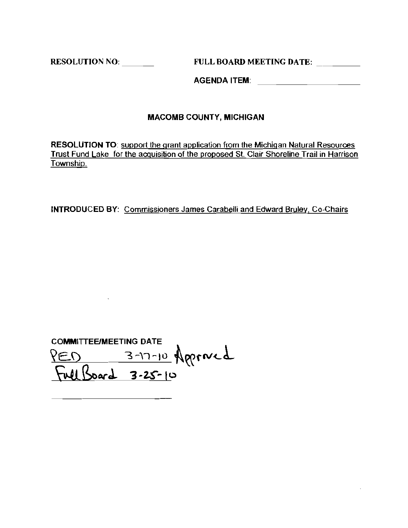RESOLUTION NO: <br>FULL BOARD MEETING DATE:

AGENDA ITEM:

#### MACOMB COUNTY, MICHIGAN

RESOLUTION TO: support the grant application from the Michigan Natural Resources Trust Fund Lake for the acquisition of the proposed Sl. Clair Shoreline Trail in Harrison **Township.** 

INTRODUCED BY: Commissioners James Carabelli and Edward Bruley, Co-Chairs

COMMITTEE/MEETING DATE  $\overline{A} = \overline{B}$  . The  $\overline{B}$  of  $\overline{B}$ <u>Inel Board 3-25-10</u>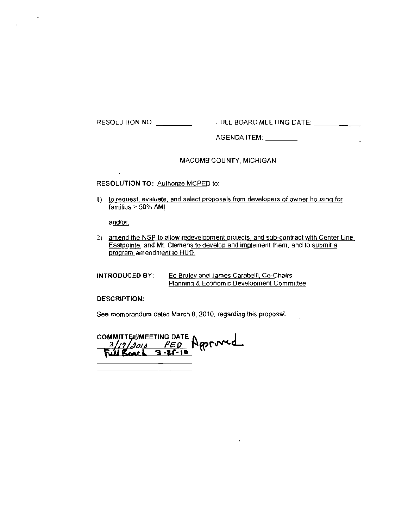RESOLUTiON NO FULL BOARD MEETING DATE \_

AGENDA ITEM: \_

#### MACOMB COUNTY, MICHIGAN

 $\sim$ 

#### RESOLUTION TO: Authorize MCPEO to:

I) to request. evaluate, and select proposals from developers of owner housing for families > 50% AMI

and/or,

 $\ddot{ }$ 

2) amend the NSP to allow redevelopment projects, and sub-contract with Center Line. Eastpointe, and Mt. Clemens to develop and implement them, and to submit a program amendment to HUO.

INTRODUCED BY: Ed Bruley and James Carabelli, Co-Chairs Planning & Economic Development Committee

DESCRIPTION:

See memorandum dated March 8,2010, regarding this proposal.

COMMITTEE/MEETING DATE A ~.. **"11:1**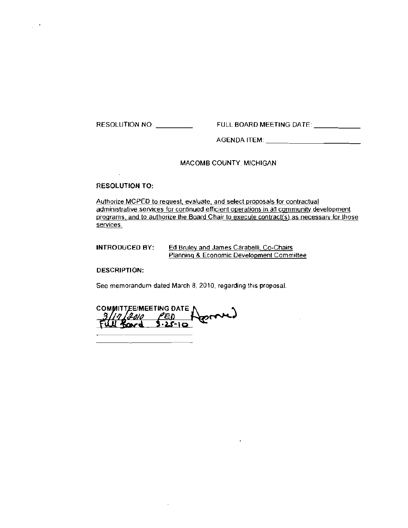RESOLUTION NO \_ THE PULL BOARD MEETING DATE:

AGENDA ITEM \_

#### MACOMB COUNTY. MICHIGAN

RESOLUTION TO:

 $\bar{z}$ 

 $\mathcal{L}^{\mathcal{L}}$ 

Authorize MCPED to request. evaluate. and select proposals for contractual administrative services for continued efficient operations in an community development grograms, and to authorize the Board Chair to execute contract{s} as necessary for those services.

**INTRODUCED** BY: Ed Bruley and James Carabelli, Co-Chairs Planning & Economic Development Committee

#### **DESCRIPTION:**

See memorandum dated March 8, 2010, regarding this proposal.

COMMITTEE/MEETING DATE J ferency  $\frac{17}{400}$   $\frac{750}{10}$ <br>Il Roard 3.25-10 Will Road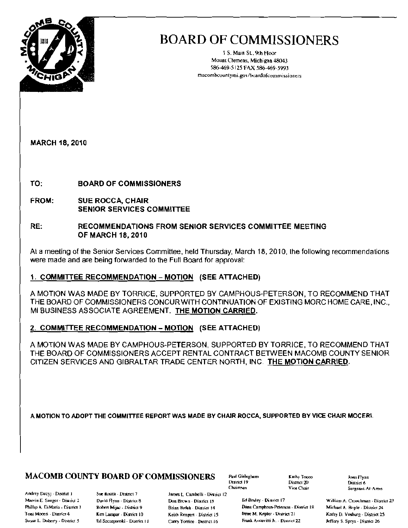

\ S. Main St. 9th Flour Mount Clemens. Michigan 48043 586-469-5125 FAX 586-469-5993 macombcountymi.gov/boardofcommissioners

MARCH 18,2010

TO: BOARD OF COMMISSIONERS

FROM: SUE ROCCA, CHAIR SENIOR SERVICES COMMITTEE

#### RE: RECOMMENDATIONS FROM SENIOR SERVICES COMMITTEE MEETING OF MARCH 18,2010

At a meeting of the Senior Services Committee, held Thursday. March 18, 2010, Ihe following recommendations were made and are being forwarded to the Full Board for approval:

#### 1. COMMITTEE RECOMMENDATION - MOTION (SEE ATTACHED)

A MOTION WAS MADE BY TORRICE, SUPPORTED BY CAMPHOUS-PETERSON, TO RECOMMEND THAT THE BOARD OF COMMISSIONERS CONCUR WITH CONTINUATION OF EXISTING MORC HOME CARE,INC., MI BUSINESS ASSOCIATE AGREEMENT. THE MOTION CARRIED.

#### 2. COMMITTEE RECOMMENDATION - MOTION (SEE ATTACHED)

A MOTION WAS MADE BY CAMPHOUS-PETERSON, SUPPORTED BY TORRICE, TO RECOMMEND THAT THE BOARD OF COMMISSIONERS ACCEPT RENTAL CONTRACT BETWEEN MACOMB COUNTY SENIOR CITIZEN SERVICES AND GIBRALTAR TRADE CENTER NORTH, INC THE MOTION CARRIED,

A. MOTION TO ADOPT THE COMMITTEE REPORT WAS MADE BY CHAIR ROCCA, SUPPORTED BY VICE CHAIR MOCERI.

### **MACOMB COUNTY BOARD OF COMMISSIONERS** Paul Gielegben  $\overline{P}$  Kalhy Tocco ham Flynn

Andrey Duzyj - District I Sue Rocca - District 7 James L. Carabelli - District 12

District 19 District 20<br>Chairman Vice Chair

Phillip A. DiMaria - District 3 Robert Mijac - District 9 Brian Briak - District 14 Dana Camphous-Peterson - District 18 Michael A. Boyle - District 24 Ton; Mocen - District 4 Ken Lampar - District 10 Keith Rengert - District 15 Irene M. Kepler - District 21 Kathy D. Vorburg - District 25 Susan L. Doberty - District 5 Ed Szczepanski - District II Carey Torrice - Dasmet 16 Frank Accavitti Jr. - District 22 Jeffery S. Sprys - District 26

Sergeant-At-Arms

Marvin E. Sauger - Diurict 2. David Flynn - District B Don Brown - District 13 Ed Bruley - District 17 William A, Crouchman - District 23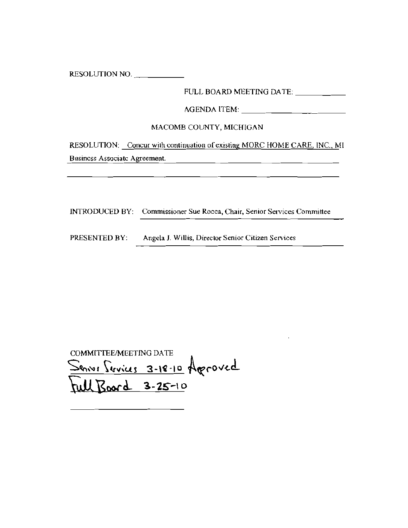RESOLUTION NO.

FULL BOARD MEETING DATE: \_\_\_\_\_\_\_\_\_\_

AGENDA ITEM: \_

#### MACOMB COUNTY, MICHIGAN

RESOLUTION: Concur with continuation of existing MORC HOME CARE, INC., MI Business Associate Agreement.

INTRODUCED BY: Commissioner Sue Rocca, Chair, Senior Services Committee

PRESENTED BY: Angela J. Willis, Director Senior Citizen Services

COMMITTEE/MEETING DATE  $S_{\text{g}}(x) = \frac{\sum_{i=1}^{N} A_{i}}{\sum_{i=1}^{N} A_{i}}$ <u>Roard</u> 3-25-10